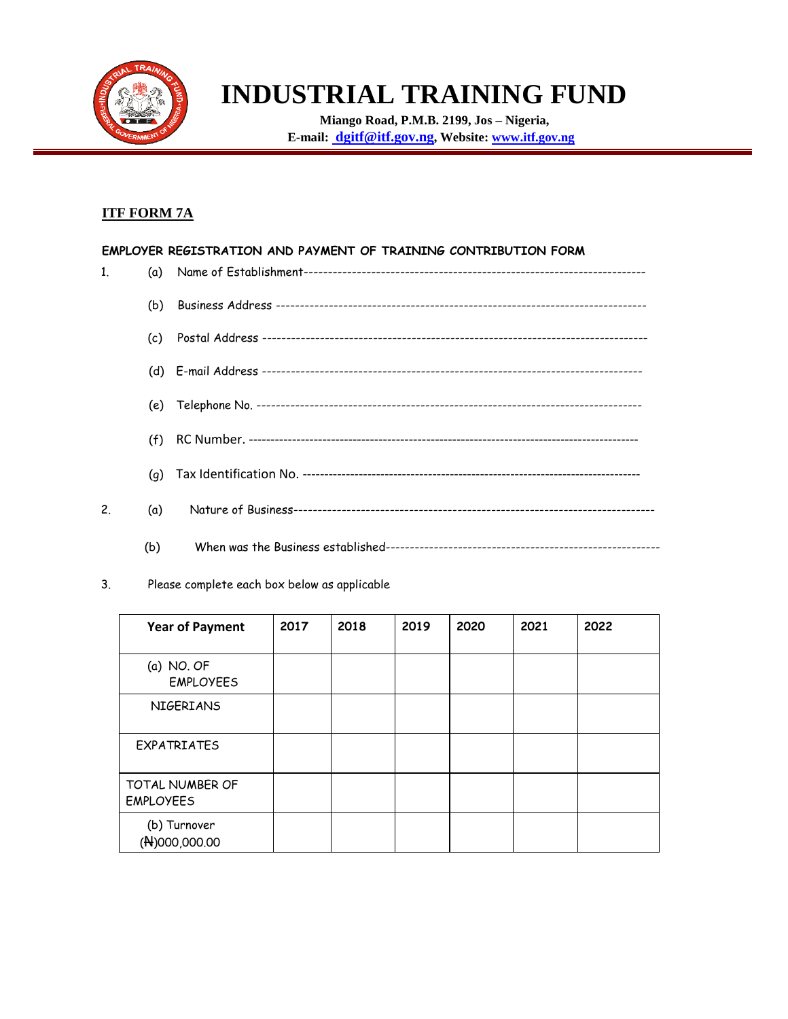

# **INDUSTRIAL TRAINING FUND**

**Miango Road, P.M.B. 2199, Jos – Nigeria, E-mail: dgitf@itf.gov.ng, Website: [www.itf.gov.ng](http://www.itf.gov.ng/)**

#### **ITF FORM 7A**

## **EMPLOYER REGISTRATION AND PAYMENT OF TRAINING CONTRIBUTION FORM** 1. (a) Name of Establishment----------------------------------------------------------------------- (b) Business Address ----------------------------------------------------------------------------- (c) Postal Address -------------------------------------------------------------------------------- (d) E-mail Address ------------------------------------------------------------------------------- (e) Telephone No. -------------------------------------------------------------------------------- (f) RC Number. ------------------------------------------------------------------------------------------ (g) Tax Identification No. ------------------------------------------------------------------------------ 2. (a) Nature of Business--------------------------------------------------------------------------- (b) When was the Business established---------------------------------------------------------

3. Please complete each box below as applicable

| <b>Year of Payment</b>              | 2017 | 2018 | 2019 | 2020 | 2021 | 2022 |
|-------------------------------------|------|------|------|------|------|------|
| $(a)$ NO. OF<br><b>EMPLOYEES</b>    |      |      |      |      |      |      |
| <b>NIGERIANS</b>                    |      |      |      |      |      |      |
| <b>EXPATRIATES</b>                  |      |      |      |      |      |      |
| TOTAL NUMBER OF<br><b>EMPLOYEES</b> |      |      |      |      |      |      |
| (b) Turnover<br>$( N)$ 000,000.00   |      |      |      |      |      |      |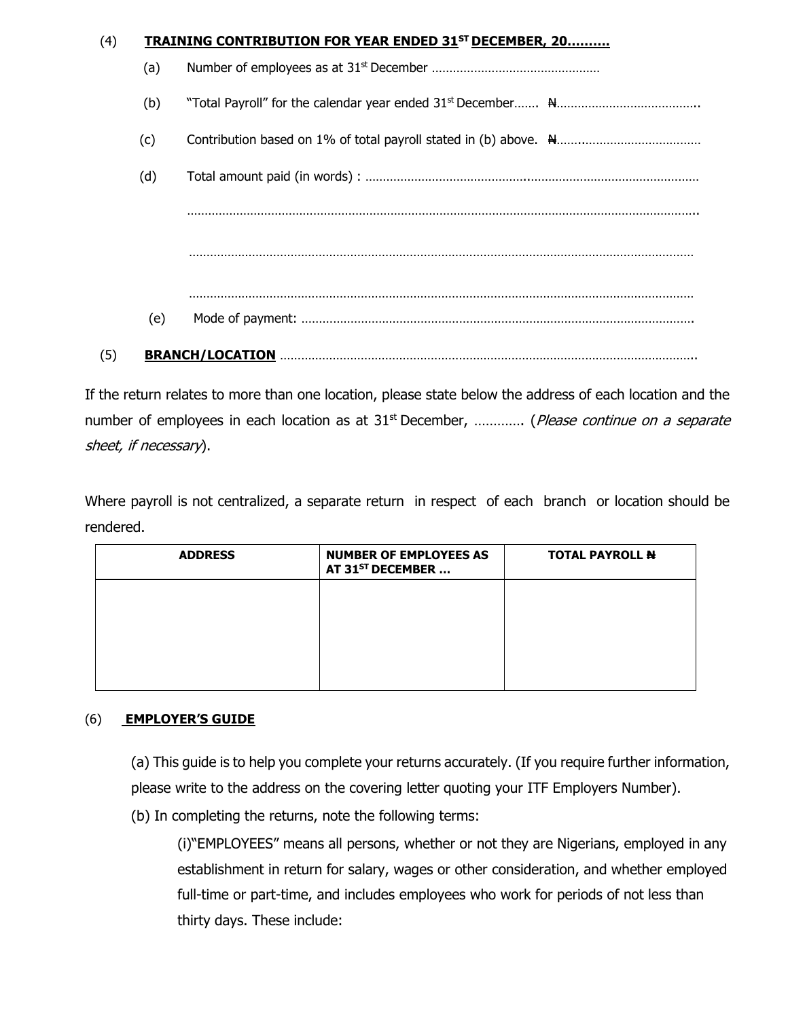| (4) |     | <b>TRAINING CONTRIBUTION FOR YEAR ENDED 31ST DECEMBER, 20</b> |
|-----|-----|---------------------------------------------------------------|
|     | (a) |                                                               |
|     | (b) |                                                               |
|     | (c) |                                                               |
|     | (d) |                                                               |
|     |     |                                                               |
|     |     |                                                               |
|     |     |                                                               |
|     | (e) |                                                               |
| (5) |     |                                                               |

If the return relates to more than one location, please state below the address of each location and the number of employees in each location as at  $31<sup>st</sup>$  December, ............. (*Please continue on a separate* sheet, if necessary).

Where payroll is not centralized, a separate return in respect of each branch or location should be rendered.

| <b>ADDRESS</b> | <b>NUMBER OF EMPLOYEES AS</b><br>AT 31 <sup>ST</sup> DECEMBER | <b>TOTAL PAYROLL N</b> |
|----------------|---------------------------------------------------------------|------------------------|
|                |                                                               |                        |
|                |                                                               |                        |
|                |                                                               |                        |

#### (6) **EMPLOYER'S GUIDE**

(a) This guide is to help you complete your returns accurately. (If you require further information, please write to the address on the covering letter quoting your ITF Employers Number).

(b) In completing the returns, note the following terms:

(i)"EMPLOYEES" means all persons, whether or not they are Nigerians, employed in any establishment in return for salary, wages or other consideration, and whether employed full-time or part-time, and includes employees who work for periods of not less than thirty days. These include: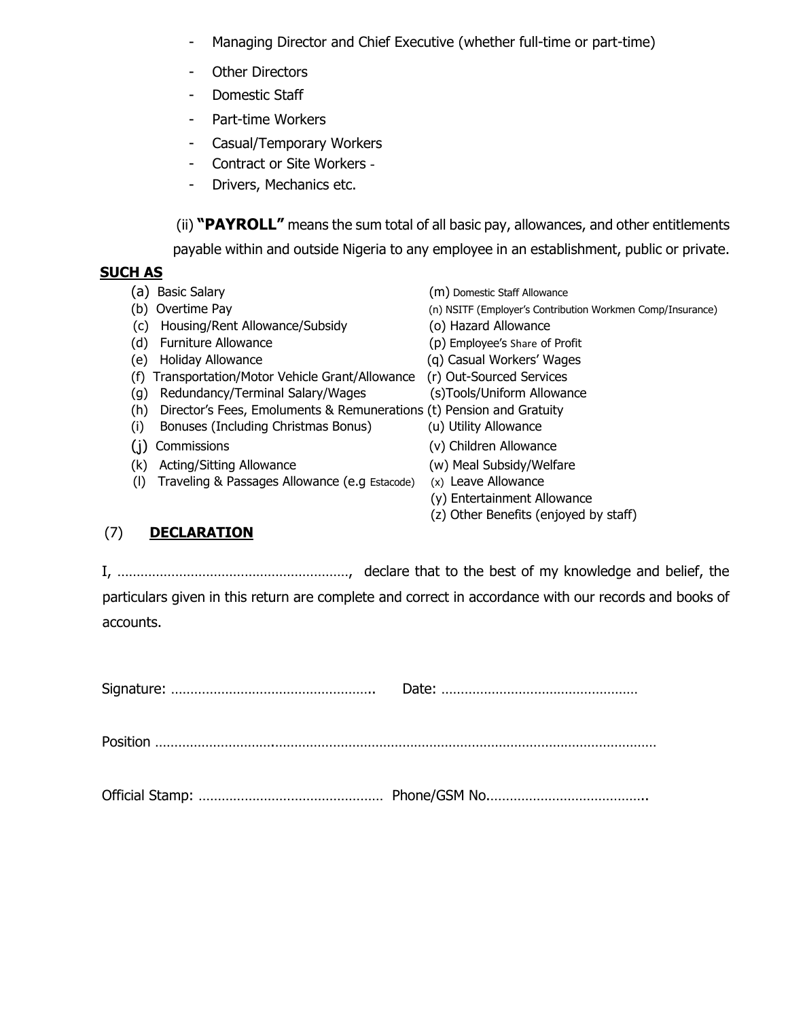- Managing Director and Chief Executive (whether full-time or part-time)
- Other Directors
- Domestic Staff
- Part-time Workers
- Casual/Temporary Workers
- Contract or Site Workers -
- Drivers, Mechanics etc.

(ii) **"PAYROLL"** means the sum total of all basic pay, allowances, and other entitlements payable within and outside Nigeria to any employee in an establishment, public or private.

#### **SUCH AS**

(a) Basic Salary (m) Domestic Staff Allowance (b) Overtime Pay (n) NSITF (Employer's Contribution Workmen Comp/Insurance) (c) Housing/Rent Allowance/Subsidy (o) Hazard Allowance (d) Furniture Allowance (p) Employee's Share of Profit (e) Holiday Allowance (q) Casual Workers' Wages (f) Transportation/Motor Vehicle Grant/Allowance (r) Out-Sourced Services (g) Redundancy/Terminal Salary/Wages (s)Tools/Uniform Allowance (h) Director's Fees, Emoluments & Remunerations (t) Pension and Gratuity (i) Bonuses (Including Christmas Bonus) (u) Utility Allowance (j) Commissions (v) Children Allowance (k) Acting/Sitting Allowance (w) Meal Subsidy/Welfare (l) Traveling & Passages Allowance (e.g Estacode) (x) Leave Allowance (y) Entertainment Allowance

(z) Other Benefits (enjoyed by staff)

## (7) **DECLARATION**

I, ……………………………………………………, declare that to the best of my knowledge and belief, the particulars given in this return are complete and correct in accordance with our records and books of accounts.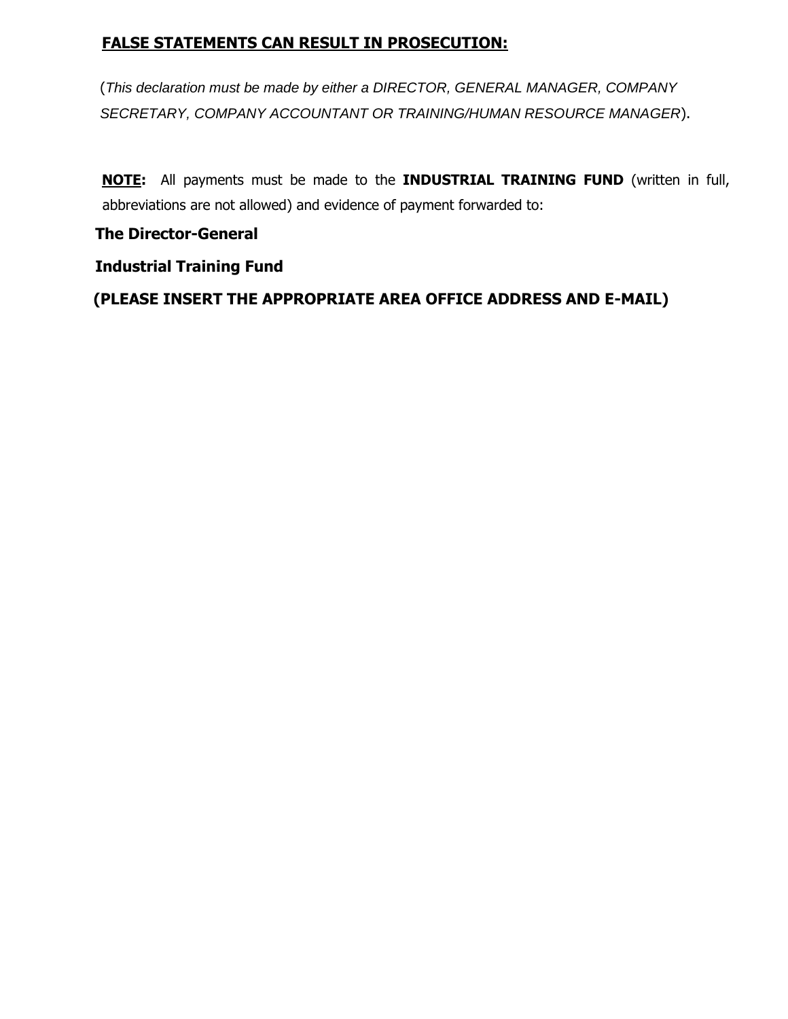## **FALSE STATEMENTS CAN RESULT IN PROSECUTION:**

(*This declaration must be made by either a DIRECTOR, GENERAL MANAGER, COMPANY SECRETARY, COMPANY ACCOUNTANT OR TRAINING/HUMAN RESOURCE MANAGER*).

**NOTE:** All payments must be made to the **INDUSTRIAL TRAINING FUND** (written in full, abbreviations are not allowed) and evidence of payment forwarded to:

### **The Director-General**

### **Industrial Training Fund**

**(PLEASE INSERT THE APPROPRIATE AREA OFFICE ADDRESS AND E-MAIL)**